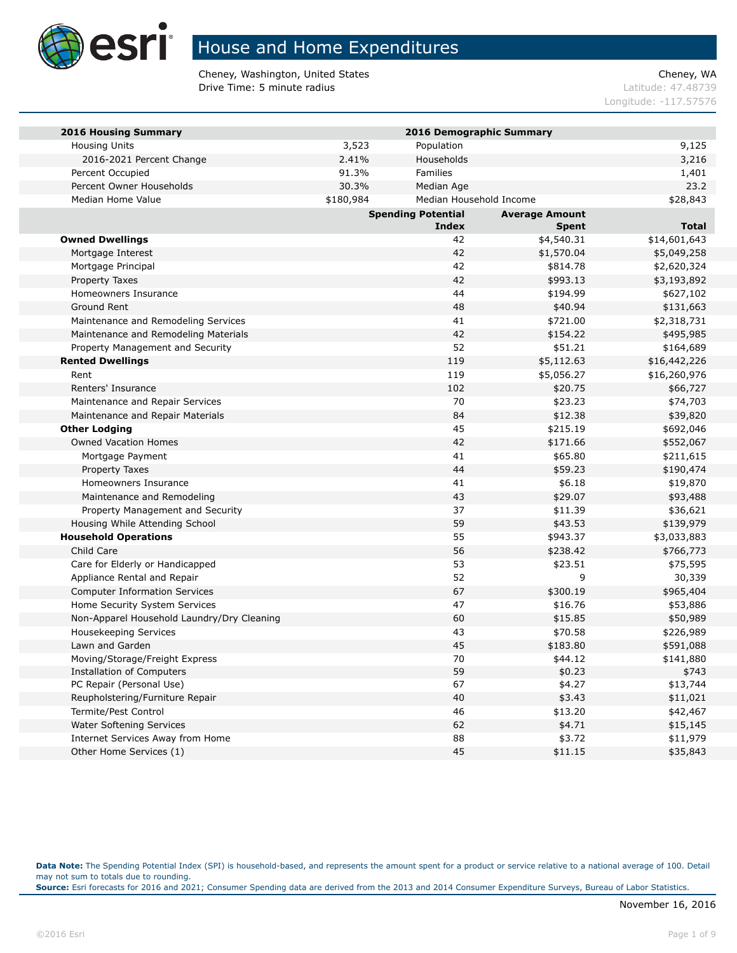

Cheney, Washington, United States Cheney, WA **Drive Time: 5 minute radius Contract Contract Contract Contract Contract Contract Contract Contract Contract Contract Contract Contract Contract Contract Contract Contract Contract Contract Contract Contract Contract Co** 

Longitude: -117.57576

| <b>2016 Housing Summary</b>                |           | 2016 Demographic Summary  |                       |              |
|--------------------------------------------|-----------|---------------------------|-----------------------|--------------|
| <b>Housing Units</b>                       | 3,523     | Population                |                       | 9,125        |
| 2016-2021 Percent Change                   | 2.41%     | Households                |                       | 3,216        |
| Percent Occupied                           | 91.3%     | Families                  |                       | 1,401        |
| Percent Owner Households                   | 30.3%     | Median Age                |                       | 23.2         |
| Median Home Value                          | \$180,984 | Median Household Income   |                       | \$28,843     |
|                                            |           | <b>Spending Potential</b> | <b>Average Amount</b> |              |
|                                            |           | <b>Index</b>              | <b>Spent</b>          | <b>Total</b> |
| <b>Owned Dwellings</b>                     |           | 42                        | \$4,540.31            | \$14,601,643 |
| Mortgage Interest                          |           | 42                        | \$1,570.04            | \$5,049,258  |
| Mortgage Principal                         |           | 42                        | \$814.78              | \$2,620,324  |
| Property Taxes                             |           | 42                        | \$993.13              | \$3,193,892  |
| Homeowners Insurance                       |           | 44                        | \$194.99              | \$627,102    |
| Ground Rent                                |           | 48                        | \$40.94               | \$131,663    |
| Maintenance and Remodeling Services        |           | 41                        | \$721.00              | \$2,318,731  |
| Maintenance and Remodeling Materials       |           | 42                        | \$154.22              | \$495,985    |
| Property Management and Security           |           | 52                        | \$51.21               | \$164,689    |
| <b>Rented Dwellings</b>                    |           | 119                       | \$5,112.63            | \$16,442,226 |
| Rent                                       |           | 119                       | \$5,056.27            | \$16,260,976 |
| Renters' Insurance                         |           | 102                       | \$20.75               | \$66,727     |
| Maintenance and Repair Services            |           | 70                        | \$23.23               | \$74,703     |
| Maintenance and Repair Materials           |           | 84                        | \$12.38               | \$39,820     |
| <b>Other Lodging</b>                       |           | 45                        | \$215.19              | \$692,046    |
| <b>Owned Vacation Homes</b>                |           | 42                        | \$171.66              | \$552,067    |
| Mortgage Payment                           |           | 41                        | \$65.80               | \$211,615    |
| Property Taxes                             |           | 44                        | \$59.23               | \$190,474    |
| Homeowners Insurance                       |           | 41                        | \$6.18                | \$19,870     |
| Maintenance and Remodeling                 |           | 43                        | \$29.07               | \$93,488     |
| Property Management and Security           |           | 37                        | \$11.39               | \$36,621     |
| Housing While Attending School             |           | 59                        | \$43.53               | \$139,979    |
| <b>Household Operations</b>                |           | 55                        | \$943.37              | \$3,033,883  |
| Child Care                                 |           | 56                        | \$238.42              | \$766,773    |
| Care for Elderly or Handicapped            |           | 53                        | \$23.51               | \$75,595     |
| Appliance Rental and Repair                |           | 52                        | 9                     | 30,339       |
| <b>Computer Information Services</b>       |           | 67                        | \$300.19              | \$965,404    |
| Home Security System Services              |           | 47                        | \$16.76               | \$53,886     |
| Non-Apparel Household Laundry/Dry Cleaning |           | 60                        | \$15.85               | \$50,989     |
| <b>Housekeeping Services</b>               |           | 43                        | \$70.58               | \$226,989    |
| Lawn and Garden                            |           | 45                        | \$183.80              | \$591,088    |
| Moving/Storage/Freight Express             |           | 70                        | \$44.12               | \$141,880    |
| <b>Installation of Computers</b>           |           | 59                        | \$0.23                | \$743        |
| PC Repair (Personal Use)                   |           | 67                        | \$4.27                | \$13,744     |
| Reupholstering/Furniture Repair            |           | 40                        | \$3.43                | \$11,021     |
| Termite/Pest Control                       |           | 46                        | \$13.20               | \$42,467     |
| Water Softening Services                   |           | 62                        | \$4.71                | \$15,145     |
| Internet Services Away from Home           |           | 88                        | \$3.72                | \$11,979     |
| Other Home Services (1)                    |           | 45                        | \$11.15               | \$35,843     |

**Data Note:** The Spending Potential Index (SPI) is household-based, and represents the amount spent for a product or service relative to a national average of 100. Detail may not sum to totals due to rounding.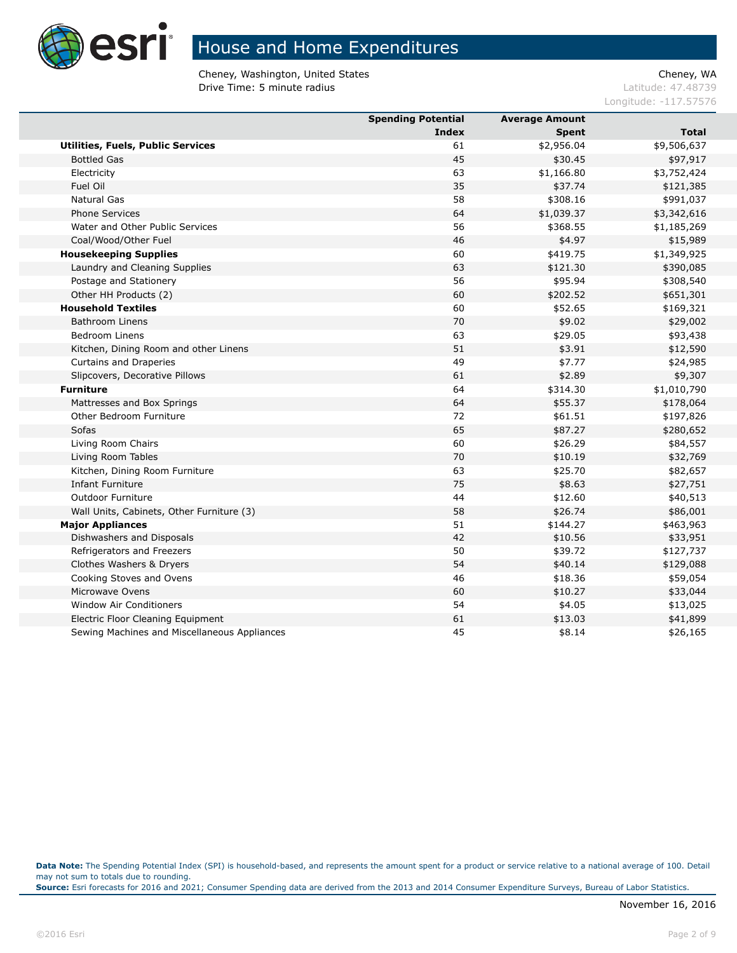

Cheney, Washington, United States Cheney, WA **Drive Time: 5 minute radius Contract Contract Contract Contract Contract Contract Contract Contract Contract Contract Contract Contract Contract Contract Contract Contract Contract Contract Contract Contract Contract Co** 

Longitude: -117.57576

|                                              | <b>Spending Potential</b> | <b>Average Amount</b> |              |
|----------------------------------------------|---------------------------|-----------------------|--------------|
|                                              | <b>Index</b>              | <b>Spent</b>          | <b>Total</b> |
| Utilities, Fuels, Public Services            | 61                        | \$2,956.04            | \$9,506,637  |
| <b>Bottled Gas</b>                           | 45                        | \$30.45               | \$97,917     |
| Electricity                                  | 63                        | \$1,166.80            | \$3,752,424  |
| Fuel Oil                                     | 35                        | \$37.74               | \$121,385    |
| Natural Gas                                  | 58                        | \$308.16              | \$991,037    |
| <b>Phone Services</b>                        | 64                        | \$1,039.37            | \$3,342,616  |
| Water and Other Public Services              | 56                        | \$368.55              | \$1,185,269  |
| Coal/Wood/Other Fuel                         | 46                        | \$4.97                | \$15,989     |
| <b>Housekeeping Supplies</b>                 | 60                        | \$419.75              | \$1,349,925  |
| Laundry and Cleaning Supplies                | 63                        | \$121.30              | \$390,085    |
| Postage and Stationery                       | 56                        | \$95.94               | \$308,540    |
| Other HH Products (2)                        | 60                        | \$202.52              | \$651,301    |
| <b>Household Textiles</b>                    | 60                        | \$52.65               | \$169,321    |
| <b>Bathroom Linens</b>                       | 70                        | \$9.02                | \$29,002     |
| <b>Bedroom Linens</b>                        | 63                        | \$29.05               | \$93,438     |
| Kitchen, Dining Room and other Linens        | 51                        | \$3.91                | \$12,590     |
| Curtains and Draperies                       | 49                        | \$7.77                | \$24,985     |
| Slipcovers, Decorative Pillows               | 61                        | \$2.89                | \$9,307      |
| <b>Furniture</b>                             | 64                        | \$314.30              | \$1,010,790  |
| Mattresses and Box Springs                   | 64                        | \$55.37               | \$178,064    |
| Other Bedroom Furniture                      | 72                        | \$61.51               | \$197,826    |
| <b>Sofas</b>                                 | 65                        | \$87.27               | \$280,652    |
| Living Room Chairs                           | 60                        | \$26.29               | \$84,557     |
| Living Room Tables                           | 70                        | \$10.19               | \$32,769     |
| Kitchen, Dining Room Furniture               | 63                        | \$25.70               | \$82,657     |
| <b>Infant Furniture</b>                      | 75                        | \$8.63                | \$27,751     |
| <b>Outdoor Furniture</b>                     | 44                        | \$12.60               | \$40,513     |
| Wall Units, Cabinets, Other Furniture (3)    | 58                        | \$26.74               | \$86,001     |
| <b>Major Appliances</b>                      | 51                        | \$144.27              | \$463,963    |
| Dishwashers and Disposals                    | 42                        | \$10.56               | \$33,951     |
| Refrigerators and Freezers                   | 50                        | \$39.72               | \$127,737    |
| Clothes Washers & Dryers                     | 54                        | \$40.14               | \$129,088    |
| Cooking Stoves and Ovens                     | 46                        | \$18.36               | \$59,054     |
| Microwave Ovens                              | 60                        | \$10.27               | \$33,044     |
| <b>Window Air Conditioners</b>               | 54                        | \$4.05                | \$13,025     |
| Electric Floor Cleaning Equipment            | 61                        | \$13.03               | \$41,899     |
| Sewing Machines and Miscellaneous Appliances | 45                        | \$8.14                | \$26,165     |

**Data Note:** The Spending Potential Index (SPI) is household-based, and represents the amount spent for a product or service relative to a national average of 100. Detail may not sum to totals due to rounding.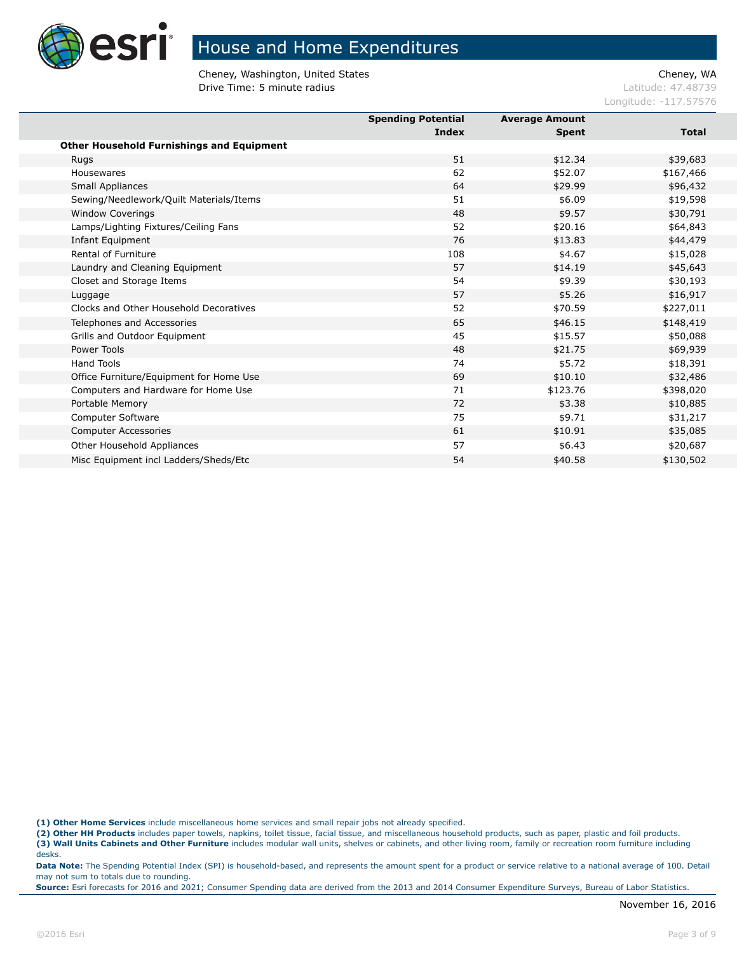

Cheney, Washington, United States Cheney, WA **Drive Time: 5 minute radius Contract Contract Contract Contract Contract Contract Contract Contract Contract Contract Contract Contract Contract Contract Contract Contract Contract Contract Contract Contract Contract Co** 

Longitude: -117.57576

|                                                  | <b>Spending Potential</b> | <b>Average Amount</b> |              |
|--------------------------------------------------|---------------------------|-----------------------|--------------|
|                                                  | Index                     | <b>Spent</b>          | <b>Total</b> |
| <b>Other Household Furnishings and Equipment</b> |                           |                       |              |
| <b>Rugs</b>                                      | 51                        | \$12.34               | \$39,683     |
| Housewares                                       | 62                        | \$52.07               | \$167,466    |
| <b>Small Appliances</b>                          | 64                        | \$29.99               | \$96,432     |
| Sewing/Needlework/Quilt Materials/Items          | 51                        | \$6.09                | \$19,598     |
| <b>Window Coverings</b>                          | 48                        | \$9.57                | \$30,791     |
| Lamps/Lighting Fixtures/Ceiling Fans             | 52                        | \$20.16               | \$64,843     |
| Infant Equipment                                 | 76                        | \$13.83               | \$44,479     |
| Rental of Furniture                              | 108                       | \$4.67                | \$15,028     |
| Laundry and Cleaning Equipment                   | 57                        | \$14.19               | \$45,643     |
| Closet and Storage Items                         | 54                        | \$9.39                | \$30,193     |
| Luggage                                          | 57                        | \$5.26                | \$16,917     |
| Clocks and Other Household Decoratives           | 52                        | \$70.59               | \$227,011    |
| Telephones and Accessories                       | 65                        | \$46.15               | \$148,419    |
| Grills and Outdoor Equipment                     | 45                        | \$15.57               | \$50,088     |
| Power Tools                                      | 48                        | \$21.75               | \$69,939     |
| <b>Hand Tools</b>                                | 74                        | \$5.72                | \$18,391     |
| Office Furniture/Equipment for Home Use          | 69                        | \$10.10               | \$32,486     |
| Computers and Hardware for Home Use              | 71                        | \$123.76              | \$398,020    |
| Portable Memory                                  | 72                        | \$3.38                | \$10,885     |
| Computer Software                                | 75                        | \$9.71                | \$31,217     |
| <b>Computer Accessories</b>                      | 61                        | \$10.91               | \$35,085     |
| Other Household Appliances                       | 57                        | \$6.43                | \$20,687     |
| Misc Equipment incl Ladders/Sheds/Etc            | 54                        | \$40.58               | \$130,502    |
|                                                  |                           |                       |              |

**(1) Other Home Services** include miscellaneous home services and small repair jobs not already specified.

**(2) Other HH Products** includes paper towels, napkins, toilet tissue, facial tissue, and miscellaneous household products, such as paper, plastic and foil products.

**(3) Wall Units Cabinets and Other Furniture** includes modular wall units, shelves or cabinets, and other living room, family or recreation room furniture including desks.

**Data Note:** The Spending Potential Index (SPI) is household-based, and represents the amount spent for a product or service relative to a national average of 100. Detail may not sum to totals due to rounding.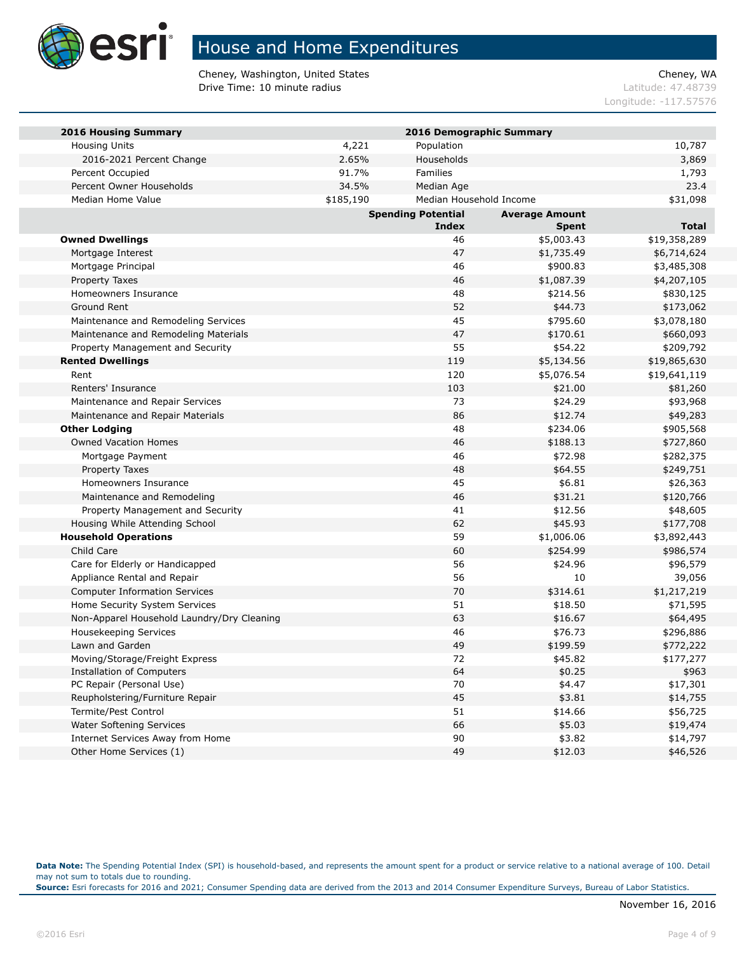

Cheney, Washington, United States Cheney, WA **Drive Time: 10 minute radius Latitude: 47.48739** 

Longitude: -117.57576

| <b>2016 Housing Summary</b>                |           | 2016 Demographic Summary  |                       |              |
|--------------------------------------------|-----------|---------------------------|-----------------------|--------------|
| <b>Housing Units</b>                       | 4,221     | Population                |                       | 10,787       |
| 2016-2021 Percent Change                   | 2.65%     | Households                |                       | 3,869        |
| Percent Occupied                           | 91.7%     | Families                  |                       | 1,793        |
| Percent Owner Households                   | 34.5%     | Median Age                |                       | 23.4         |
| Median Home Value                          | \$185,190 | Median Household Income   |                       | \$31,098     |
|                                            |           | <b>Spending Potential</b> | <b>Average Amount</b> |              |
|                                            |           | <b>Index</b>              | <b>Spent</b>          | <b>Total</b> |
| <b>Owned Dwellings</b>                     |           | 46                        | \$5,003.43            | \$19,358,289 |
| Mortgage Interest                          |           | 47                        | \$1,735.49            | \$6,714,624  |
| Mortgage Principal                         |           | 46                        | \$900.83              | \$3,485,308  |
| Property Taxes                             |           | 46                        | \$1,087.39            | \$4,207,105  |
| Homeowners Insurance                       |           | 48                        | \$214.56              | \$830,125    |
| Ground Rent                                |           | 52                        | \$44.73               | \$173,062    |
| Maintenance and Remodeling Services        |           | 45                        | \$795.60              | \$3,078,180  |
| Maintenance and Remodeling Materials       |           | 47                        | \$170.61              | \$660,093    |
| Property Management and Security           |           | 55                        | \$54.22               | \$209,792    |
| <b>Rented Dwellings</b>                    |           | 119                       | \$5,134.56            | \$19,865,630 |
| Rent                                       |           | 120                       | \$5,076.54            | \$19,641,119 |
| Renters' Insurance                         |           | 103                       | \$21.00               | \$81,260     |
| Maintenance and Repair Services            |           | 73                        | \$24.29               | \$93,968     |
| Maintenance and Repair Materials           |           | 86                        | \$12.74               | \$49,283     |
| <b>Other Lodging</b>                       |           | 48                        | \$234.06              | \$905,568    |
| <b>Owned Vacation Homes</b>                |           | 46                        | \$188.13              | \$727,860    |
| Mortgage Payment                           |           | 46                        | \$72.98               | \$282,375    |
| Property Taxes                             |           | 48                        | \$64.55               | \$249,751    |
| Homeowners Insurance                       |           | 45                        | \$6.81                | \$26,363     |
| Maintenance and Remodeling                 |           | 46                        | \$31.21               | \$120,766    |
| Property Management and Security           |           | 41                        | \$12.56               | \$48,605     |
| Housing While Attending School             |           | 62                        | \$45.93               | \$177,708    |
| <b>Household Operations</b>                |           | 59                        | \$1,006.06            | \$3,892,443  |
| Child Care                                 |           | 60                        | \$254.99              | \$986,574    |
| Care for Elderly or Handicapped            |           | 56                        | \$24.96               | \$96,579     |
| Appliance Rental and Repair                |           | 56                        | 10                    | 39,056       |
| <b>Computer Information Services</b>       |           | 70                        | \$314.61              | \$1,217,219  |
| Home Security System Services              |           | 51                        | \$18.50               | \$71,595     |
| Non-Apparel Household Laundry/Dry Cleaning |           | 63                        | \$16.67               | \$64,495     |
| Housekeeping Services                      |           | 46                        | \$76.73               | \$296,886    |
| Lawn and Garden                            |           | 49                        | \$199.59              | \$772,222    |
| Moving/Storage/Freight Express             |           | 72                        | \$45.82               | \$177,277    |
| <b>Installation of Computers</b>           |           | 64                        | \$0.25                | \$963        |
| PC Repair (Personal Use)                   |           | 70                        | \$4.47                | \$17,301     |
| Reupholstering/Furniture Repair            |           | 45                        | \$3.81                | \$14,755     |
| Termite/Pest Control                       |           | 51                        | \$14.66               | \$56,725     |
| Water Softening Services                   |           | 66                        | \$5.03                | \$19,474     |
| Internet Services Away from Home           |           | 90                        | \$3.82                | \$14,797     |
| Other Home Services (1)                    |           | 49                        | \$12.03               | \$46,526     |

**Data Note:** The Spending Potential Index (SPI) is household-based, and represents the amount spent for a product or service relative to a national average of 100. Detail may not sum to totals due to rounding.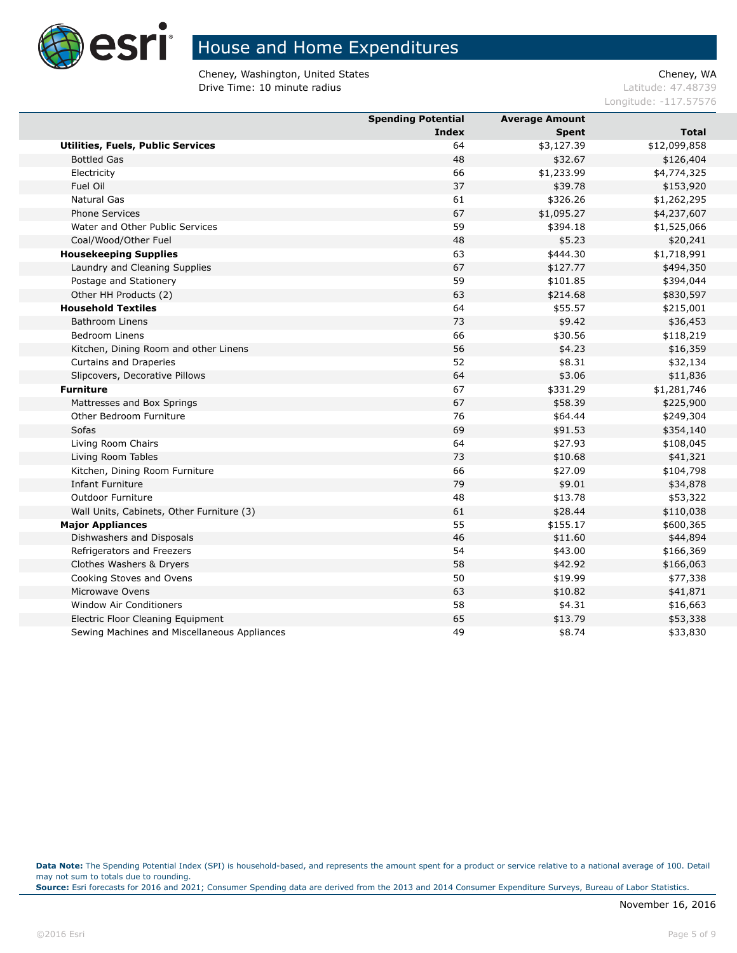

Cheney, Washington, United States Cheney, WA **Drive Time: 10 minute radius Latitude: 47.48739** 

Longitude: -117.57576

|                                              | <b>Spending Potential</b> | <b>Average Amount</b> |              |
|----------------------------------------------|---------------------------|-----------------------|--------------|
|                                              | Index                     | <b>Spent</b>          | <b>Total</b> |
| Utilities, Fuels, Public Services            | 64                        | \$3,127.39            | \$12,099,858 |
| <b>Bottled Gas</b>                           | 48                        | \$32.67               | \$126,404    |
| Electricity                                  | 66                        | \$1,233.99            | \$4,774,325  |
| Fuel Oil                                     | 37                        | \$39.78               | \$153,920    |
| <b>Natural Gas</b>                           | 61                        | \$326.26              | \$1,262,295  |
| <b>Phone Services</b>                        | 67                        | \$1,095.27            | \$4,237,607  |
| Water and Other Public Services              | 59                        | \$394.18              | \$1,525,066  |
| Coal/Wood/Other Fuel                         | 48                        | \$5.23                | \$20,241     |
| <b>Housekeeping Supplies</b>                 | 63                        | \$444.30              | \$1,718,991  |
| Laundry and Cleaning Supplies                | 67                        | \$127.77              | \$494,350    |
| Postage and Stationery                       | 59                        | \$101.85              | \$394,044    |
| Other HH Products (2)                        | 63                        | \$214.68              | \$830,597    |
| <b>Household Textiles</b>                    | 64                        | \$55.57               | \$215,001    |
| <b>Bathroom Linens</b>                       | 73                        | \$9.42                | \$36,453     |
| <b>Bedroom Linens</b>                        | 66                        | \$30.56               | \$118,219    |
| Kitchen, Dining Room and other Linens        | 56                        | \$4.23                | \$16,359     |
| Curtains and Draperies                       | 52                        | \$8.31                | \$32,134     |
| Slipcovers, Decorative Pillows               | 64                        | \$3.06                | \$11,836     |
| <b>Furniture</b>                             | 67                        | \$331.29              | \$1,281,746  |
| Mattresses and Box Springs                   | 67                        | \$58.39               | \$225,900    |
| Other Bedroom Furniture                      | 76                        | \$64.44               | \$249,304    |
| Sofas                                        | 69                        | \$91.53               | \$354,140    |
| Living Room Chairs                           | 64                        | \$27.93               | \$108,045    |
| Living Room Tables                           | 73                        | \$10.68               | \$41,321     |
| Kitchen, Dining Room Furniture               | 66                        | \$27.09               | \$104,798    |
| <b>Infant Furniture</b>                      | 79                        | \$9.01                | \$34,878     |
| <b>Outdoor Furniture</b>                     | 48                        | \$13.78               | \$53,322     |
| Wall Units, Cabinets, Other Furniture (3)    | 61                        | \$28.44               | \$110,038    |
| <b>Major Appliances</b>                      | 55                        | \$155.17              | \$600,365    |
| Dishwashers and Disposals                    | 46                        | \$11.60               | \$44,894     |
| Refrigerators and Freezers                   | 54                        | \$43.00               | \$166,369    |
| Clothes Washers & Dryers                     | 58                        | \$42.92               | \$166,063    |
| Cooking Stoves and Ovens                     | 50                        | \$19.99               | \$77,338     |
| Microwave Ovens                              | 63                        | \$10.82               | \$41,871     |
| <b>Window Air Conditioners</b>               | 58                        | \$4.31                | \$16,663     |
| Electric Floor Cleaning Equipment            | 65                        | \$13.79               | \$53,338     |
| Sewing Machines and Miscellaneous Appliances | 49                        | \$8.74                | \$33,830     |

**Data Note:** The Spending Potential Index (SPI) is household-based, and represents the amount spent for a product or service relative to a national average of 100. Detail may not sum to totals due to rounding.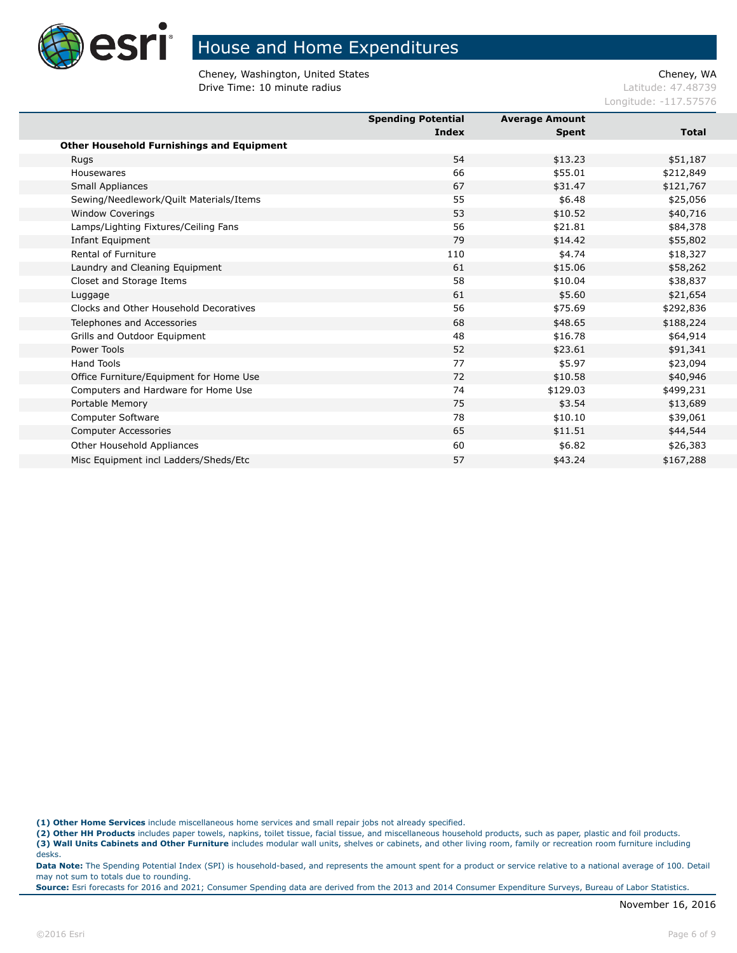

Cheney, Washington, United States Cheney, WA **Drive Time: 10 minute radius Latitude: 47.48739** 

Longitude: -117.57576

|                                                  | <b>Spending Potential</b> | <b>Average Amount</b> |              |
|--------------------------------------------------|---------------------------|-----------------------|--------------|
|                                                  | Index                     | <b>Spent</b>          | <b>Total</b> |
| <b>Other Household Furnishings and Equipment</b> |                           |                       |              |
| Rugs                                             | 54                        | \$13.23               | \$51,187     |
| Housewares                                       | 66                        | \$55.01               | \$212,849    |
| Small Appliances                                 | 67                        | \$31.47               | \$121,767    |
| Sewing/Needlework/Quilt Materials/Items          | 55                        | \$6.48                | \$25,056     |
| <b>Window Coverings</b>                          | 53                        | \$10.52               | \$40,716     |
| Lamps/Lighting Fixtures/Ceiling Fans             | 56                        | \$21.81               | \$84,378     |
| Infant Equipment                                 | 79                        | \$14.42               | \$55,802     |
| Rental of Furniture                              | 110                       | \$4.74                | \$18,327     |
| Laundry and Cleaning Equipment                   | 61                        | \$15.06               | \$58,262     |
| Closet and Storage Items                         | 58                        | \$10.04               | \$38,837     |
| Luggage                                          | 61                        | \$5.60                | \$21,654     |
| Clocks and Other Household Decoratives           | 56                        | \$75.69               | \$292,836    |
| Telephones and Accessories                       | 68                        | \$48.65               | \$188,224    |
| Grills and Outdoor Equipment                     | 48                        | \$16.78               | \$64,914     |
| Power Tools                                      | 52                        | \$23.61               | \$91,341     |
| <b>Hand Tools</b>                                | 77                        | \$5.97                | \$23,094     |
| Office Furniture/Equipment for Home Use          | 72                        | \$10.58               | \$40,946     |
| Computers and Hardware for Home Use              | 74                        | \$129.03              | \$499,231    |
| Portable Memory                                  | 75                        | \$3.54                | \$13,689     |
| Computer Software                                | 78                        | \$10.10               | \$39,061     |
| <b>Computer Accessories</b>                      | 65                        | \$11.51               | \$44,544     |
| Other Household Appliances                       | 60                        | \$6.82                | \$26,383     |
| Misc Equipment incl Ladders/Sheds/Etc            | 57                        | \$43.24               | \$167,288    |
|                                                  |                           |                       |              |

**(1) Other Home Services** include miscellaneous home services and small repair jobs not already specified.

**(2) Other HH Products** includes paper towels, napkins, toilet tissue, facial tissue, and miscellaneous household products, such as paper, plastic and foil products.

**(3) Wall Units Cabinets and Other Furniture** includes modular wall units, shelves or cabinets, and other living room, family or recreation room furniture including desks.

**Data Note:** The Spending Potential Index (SPI) is household-based, and represents the amount spent for a product or service relative to a national average of 100. Detail may not sum to totals due to rounding.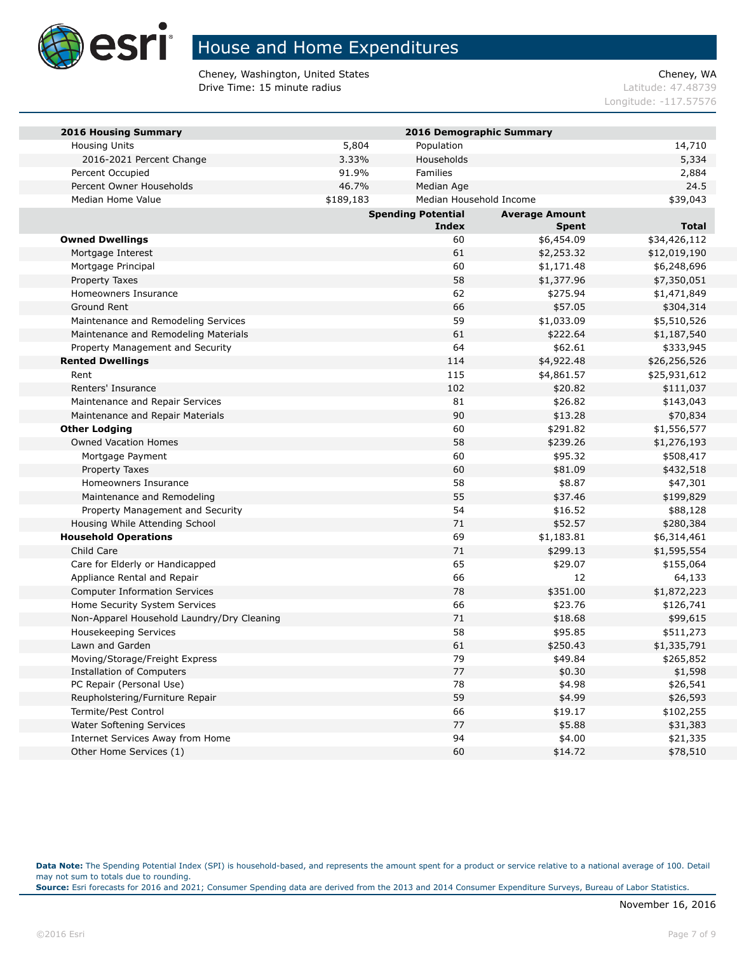

Cheney, Washington, United States Cheney, WA **Drive Time: 15 minute radius Latitude: 47.48739** 

Longitude: -117.57576

| <b>2016 Housing Summary</b>                |           | 2016 Demographic Summary  |                       |              |
|--------------------------------------------|-----------|---------------------------|-----------------------|--------------|
| <b>Housing Units</b>                       | 5,804     | Population                |                       | 14,710       |
| 2016-2021 Percent Change                   | 3.33%     | Households                |                       | 5,334        |
| Percent Occupied                           | 91.9%     | <b>Families</b>           |                       | 2,884        |
| Percent Owner Households                   | 46.7%     | Median Age                |                       | 24.5         |
| Median Home Value                          | \$189,183 | Median Household Income   |                       | \$39,043     |
|                                            |           | <b>Spending Potential</b> | <b>Average Amount</b> |              |
|                                            |           | <b>Index</b>              | <b>Spent</b>          | <b>Total</b> |
| <b>Owned Dwellings</b>                     |           | 60                        | \$6,454.09            | \$34,426,112 |
| Mortgage Interest                          |           | 61                        | \$2,253.32            | \$12,019,190 |
| Mortgage Principal                         |           | 60                        | \$1,171.48            | \$6,248,696  |
| Property Taxes                             |           | 58                        | \$1,377.96            | \$7,350,051  |
| Homeowners Insurance                       |           | 62                        | \$275.94              | \$1,471,849  |
| Ground Rent                                |           | 66                        | \$57.05               | \$304,314    |
| Maintenance and Remodeling Services        |           | 59                        | \$1,033.09            | \$5,510,526  |
| Maintenance and Remodeling Materials       |           | 61                        | \$222.64              | \$1,187,540  |
| Property Management and Security           |           | 64                        | \$62.61               | \$333,945    |
| <b>Rented Dwellings</b>                    |           | 114                       | \$4,922.48            | \$26,256,526 |
| Rent                                       |           | 115                       | \$4,861.57            | \$25,931,612 |
| Renters' Insurance                         |           | 102                       | \$20.82               | \$111,037    |
| Maintenance and Repair Services            |           | 81                        | \$26.82               | \$143,043    |
| Maintenance and Repair Materials           |           | 90                        | \$13.28               | \$70,834     |
| <b>Other Lodging</b>                       |           | 60                        | \$291.82              | \$1,556,577  |
| <b>Owned Vacation Homes</b>                |           | 58                        | \$239.26              | \$1,276,193  |
| Mortgage Payment                           |           | 60                        | \$95.32               | \$508,417    |
| Property Taxes                             |           | 60                        | \$81.09               | \$432,518    |
| Homeowners Insurance                       |           | 58                        | \$8.87                | \$47,301     |
| Maintenance and Remodeling                 |           | 55                        | \$37.46               | \$199,829    |
| Property Management and Security           |           | 54                        | \$16.52               | \$88,128     |
| Housing While Attending School             |           | 71                        | \$52.57               | \$280,384    |
| <b>Household Operations</b>                |           | 69                        | \$1,183.81            | \$6,314,461  |
| Child Care                                 |           | 71                        | \$299.13              | \$1,595,554  |
| Care for Elderly or Handicapped            |           | 65                        | \$29.07               | \$155,064    |
| Appliance Rental and Repair                |           | 66                        | 12                    | 64,133       |
| <b>Computer Information Services</b>       |           | 78                        | \$351.00              | \$1,872,223  |
| Home Security System Services              |           | 66                        | \$23.76               | \$126,741    |
| Non-Apparel Household Laundry/Dry Cleaning |           | 71                        | \$18.68               | \$99,615     |
| <b>Housekeeping Services</b>               |           | 58                        | \$95.85               | \$511,273    |
| Lawn and Garden                            |           | 61                        | \$250.43              | \$1,335,791  |
| Moving/Storage/Freight Express             |           | 79                        | \$49.84               | \$265,852    |
| Installation of Computers                  |           | 77                        | \$0.30                | \$1,598      |
| PC Repair (Personal Use)                   |           | 78                        | \$4.98                | \$26,541     |
| Reupholstering/Furniture Repair            |           | 59                        | \$4.99                | \$26,593     |
| Termite/Pest Control                       |           | 66                        | \$19.17               | \$102,255    |
| <b>Water Softening Services</b>            |           | 77                        | \$5.88                | \$31,383     |
| Internet Services Away from Home           |           | 94                        | \$4.00                | \$21,335     |
| Other Home Services (1)                    |           | 60                        | \$14.72               | \$78,510     |

**Data Note:** The Spending Potential Index (SPI) is household-based, and represents the amount spent for a product or service relative to a national average of 100. Detail may not sum to totals due to rounding.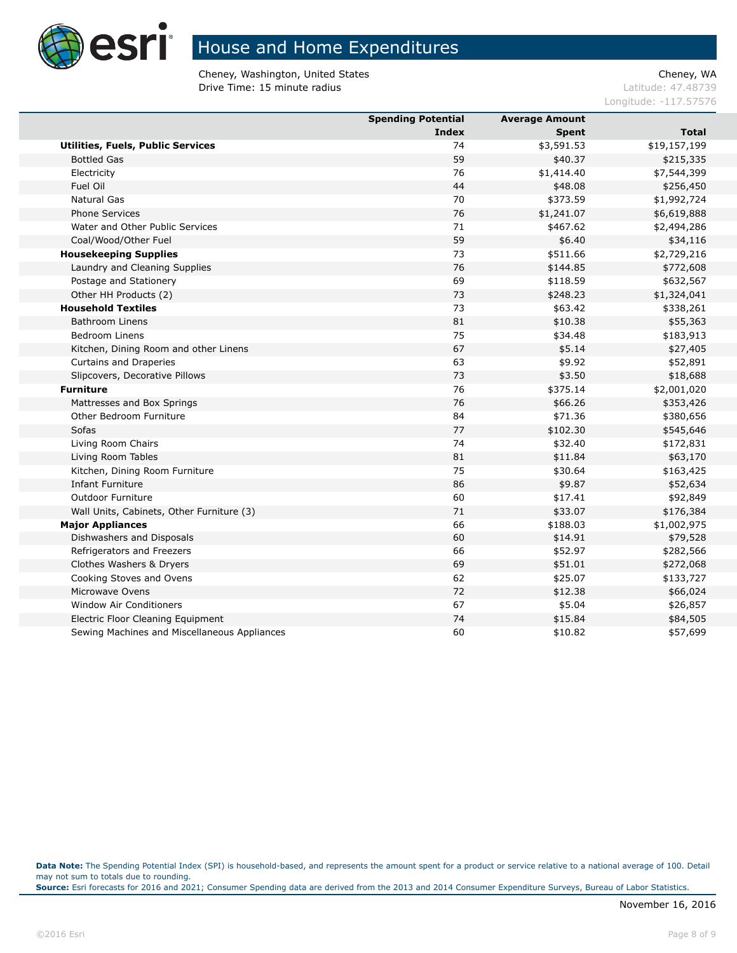

Cheney, Washington, United States Cheney, WA **Drive Time: 15 minute radius Latitude: 47.48739** 

Longitude: -117.57576

|                                              | <b>Spending Potential</b> | <b>Average Amount</b> |              |
|----------------------------------------------|---------------------------|-----------------------|--------------|
|                                              | Index                     | <b>Spent</b>          | <b>Total</b> |
| <b>Utilities, Fuels, Public Services</b>     | 74                        | \$3,591.53            | \$19,157,199 |
| <b>Bottled Gas</b>                           | 59                        | \$40.37               | \$215,335    |
| Electricity                                  | 76                        | \$1,414.40            | \$7,544,399  |
| Fuel Oil                                     | 44                        | \$48.08               | \$256,450    |
| <b>Natural Gas</b>                           | 70                        | \$373.59              | \$1,992,724  |
| <b>Phone Services</b>                        | 76                        | \$1,241.07            | \$6,619,888  |
| Water and Other Public Services              | 71                        | \$467.62              | \$2,494,286  |
| Coal/Wood/Other Fuel                         | 59                        | \$6.40                | \$34,116     |
| <b>Housekeeping Supplies</b>                 | 73                        | \$511.66              | \$2,729,216  |
| Laundry and Cleaning Supplies                | 76                        | \$144.85              | \$772,608    |
| Postage and Stationery                       | 69                        | \$118.59              | \$632,567    |
| Other HH Products (2)                        | 73                        | \$248.23              | \$1,324,041  |
| <b>Household Textiles</b>                    | 73                        | \$63.42               | \$338,261    |
| <b>Bathroom Linens</b>                       | 81                        | \$10.38               | \$55,363     |
| <b>Bedroom Linens</b>                        | 75                        | \$34.48               | \$183,913    |
| Kitchen, Dining Room and other Linens        | 67                        | \$5.14                | \$27,405     |
| Curtains and Draperies                       | 63                        | \$9.92                | \$52,891     |
| Slipcovers, Decorative Pillows               | 73                        | \$3.50                | \$18,688     |
| <b>Furniture</b>                             | 76                        | \$375.14              | \$2,001,020  |
| Mattresses and Box Springs                   | 76                        | \$66.26               | \$353,426    |
| Other Bedroom Furniture                      | 84                        | \$71.36               | \$380,656    |
| Sofas                                        | 77                        | \$102.30              | \$545,646    |
| Living Room Chairs                           | 74                        | \$32.40               | \$172,831    |
| Living Room Tables                           | 81                        | \$11.84               | \$63,170     |
| Kitchen, Dining Room Furniture               | 75                        | \$30.64               | \$163,425    |
| <b>Infant Furniture</b>                      | 86                        | \$9.87                | \$52,634     |
| <b>Outdoor Furniture</b>                     | 60                        | \$17.41               | \$92,849     |
| Wall Units, Cabinets, Other Furniture (3)    | 71                        | \$33.07               | \$176,384    |
| <b>Major Appliances</b>                      | 66                        | \$188.03              | \$1,002,975  |
| Dishwashers and Disposals                    | 60                        | \$14.91               | \$79,528     |
| Refrigerators and Freezers                   | 66                        | \$52.97               | \$282,566    |
| Clothes Washers & Dryers                     | 69                        | \$51.01               | \$272,068    |
| Cooking Stoves and Ovens                     | 62                        | \$25.07               | \$133,727    |
| Microwave Ovens                              | 72                        | \$12.38               | \$66,024     |
| <b>Window Air Conditioners</b>               | 67                        | \$5.04                | \$26,857     |
| Electric Floor Cleaning Equipment            | 74                        | \$15.84               | \$84,505     |
| Sewing Machines and Miscellaneous Appliances | 60                        | \$10.82               | \$57,699     |
|                                              |                           |                       |              |

**Data Note:** The Spending Potential Index (SPI) is household-based, and represents the amount spent for a product or service relative to a national average of 100. Detail may not sum to totals due to rounding.